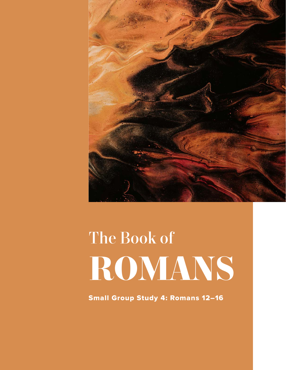

# The Book of **ROMANS**

Small Group Study 4: Romans 12–16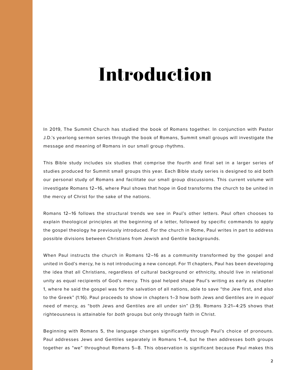# **Introduction**

In 2019, The Summit Church has studied the book of Romans together. In conjunction with Pastor J.D.'s yearlong sermon series through the book of Romans, Summit small groups will investigate the message and meaning of Romans in our small group rhythms.

This Bible study includes six studies that comprise the fourth and final set in a larger series of studies produced for Summit small groups this year. Each Bible study series is designed to aid both our personal study of Romans and facilitate our small group discussions. This current volume will investigate Romans 12–16, where Paul shows that hope in God transforms the church to be united in the mercy of Christ for the sake of the nations.

Romans 12–16 follows the structural trends we see in Paul's other letters. Paul often chooses to explain theological principles at the beginning of a letter, followed by specific commands to apply the gospel theology he previously introduced. For the church in Rome, Paul writes in part to address possible divisions between Christians from Jewish and Gentile backgrounds.

When Paul instructs the church in Romans 12–16 as a community transformed by the gospel and united in God's mercy, he is not introducing a new concept. For 11 chapters, Paul has been developing the idea that all Christians, regardless of cultural background or ethnicity, should live in relational unity as equal recipients of God's mercy. This goal helped shape Paul's writing as early as chapter 1, where he said the gospel was for the salvation of all nations, able to save "the Jew first, and also to the Greek" (1:16). Paul proceeds to show in chapters 1–3 how both Jews and Gentiles are in *equal* need of mercy, as "both Jews and Gentiles are all under sin" (3:9). Romans 3:21–4:25 shows that righteousness is attainable for *both* groups but only through faith in Christ.

Beginning with Romans 5, the language changes significantly through Paul's choice of pronouns. Paul addresses Jews and Gentiles separately in Romans 1–4, but he then addresses both groups together as "we" throughout Romans 5–8. This observation is significant because Paul makes this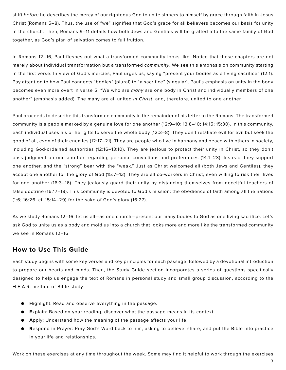shift *before* he describes the mercy of our righteous God to unite sinners to himself by grace through faith in Jesus Christ (Romans 5–8). Thus, the use of "we" signifies that God's grace for all believers becomes our basis for unity in the church. Then, Romans 9–11 details how both Jews and Gentiles will be grafted into the same family of God together, as God's plan of salvation comes to full fruition.

In Romans 12–16, Paul fleshes out what a transformed community looks like. Notice that these chapters are not merely about individual transformation but a transformed *community*. We see this emphasis on community starting in the first verse. In view of God's mercies, Paul urges us, saying "present your bodies as a living sacrifice" (12:1). Pay attention to how Paul connects "bodies" (plural) to "a sacrifice" (singular). Paul's emphasis on unity in the body becomes even more overt in verse 5: "We who are *many* are one body in Christ and individually members of one another" (emphasis added). The many are all united *in Christ*, and, therefore, united to one another.

Paul proceeds to describe this transformed community in the remainder of his letter to the Romans. The transformed community is a people marked by a genuine love for one another (12:9–10; 13:8–10; 14:15; 15:30). In this community, each individual uses his or her gifts to serve the whole body (12:3–8). They don't retaliate evil for evil but seek the good of all, even of their enemies (12:17–21). They are people who live in harmony and peace with others in society, including God-ordained authorities (12:16–13:10). They are jealous to protect their unity in Christ, so they don't pass judgment on one another regarding personal convictions and preferences (14:1–23). Instead, they support one another, and the "strong" bear with the "weak." Just as Christ welcomed all (both Jews and Gentiles), they accept one another for the glory of God (15:7–13). They are all co-workers in Christ, even willing to risk their lives for one another (16:3–16). They jealously guard their unity by distancing themselves from deceitful teachers of false doctrine (16:17–18). This community is devoted to God's mission: the obedience of faith among all the nations (1:6; 16:26; cf. 15:14–29) for the sake of God's glory (16:27).

As we study Romans 12–16, let us all—as one church—present our many bodies to God as one living sacrifice. Let's ask God to unite us as a body and mold us into a church that looks more and more like the transformed community we see in Romans 12–16.

### **How to Use This Guide**

Each study begins with some key verses and key principles for each passage, followed by a devotional introduction to prepare our hearts and minds. Then, the Study Guide section incorporates a series of questions specifically designed to help us engage the text of Romans in personal study and small group discussion, according to the H.E.A.R. method of Bible study:

- **● H**ighlight: Read and observe everything in the passage.
- **● E**xplain: Based on your reading, discover what the passage means in its context.
- **● A**pply: Understand how the meaning of the passage affects your life.
- **● R**espond in Prayer: Pray God's Word back to him, asking to believe, share, and put the Bible into practice in your life and relationships.

Work on these exercises at any time throughout the week. Some may find it helpful to work through the exercises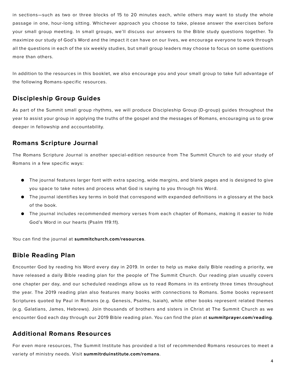in sections—such as two or three blocks of 15 to 20 minutes each, while others may want to study the whole passage in one, hour-long sitting. Whichever approach you choose to take, please answer the exercises before your small group meeting. In small groups, we'll discuss our answers to the Bible study questions together. To maximize our study of God's Word and the impact it can have on our lives, we encourage everyone to work through all the questions in each of the six weekly studies, but small group leaders may choose to focus on some questions more than others.

In addition to the resources in this booklet, we also encourage you and your small group to take full advantage of the following Romans-specific resources.

### **Discipleship Group Guides**

As part of the Summit small group rhythms, we will produce Discipleship Group (D-group) guides throughout the year to assist your group in applying the truths of the gospel and the messages of Romans, encouraging us to grow deeper in fellowship and accountability.

### **Romans Scripture Journal**

The Romans Scripture Journal is another special-edition resource from The Summit Church to aid your study of Romans in a few specific ways:

- The journal features larger font with extra spacing, wide margins, and blank pages and is designed to give you space to take notes and process what God is saying to you through his Word.
- The journal identifies key terms in bold that correspond with expanded definitions in a glossary at the back of the book.
- The journal includes recommended memory verses from each chapter of Romans, making it easier to hide God's Word in our hearts (Psalm 119:11).

You can find the journal at **summitchurch.com/resources**.

### **Bible Reading Plan**

Encounter God by reading his Word every day in 2019. In order to help us make daily Bible reading a priority, we have released a daily Bible reading plan for the people of The Summit Church. Our reading plan usually covers one chapter per day, and our scheduled readings allow us to read Romans in its entirety three times throughout the year. The 2019 reading plan also features many books with connections to Romans. Some books represent Scriptures quoted by Paul in Romans (e.g. Genesis, Psalms, Isaiah), while other books represent related themes (e.g. Galatians, James, Hebrews). Join thousands of brothers and sisters in Christ at The Summit Church as we encounter God each day through our 2019 Bible reading plan. You can find the plan at **summitprayer.com/reading**.

### **Additional Romans Resources**

For even more resources, The Summit Institute has provided a list of recommended Romans resources to meet a variety of ministry needs. Visit **summitrduinstitute.com/romans**.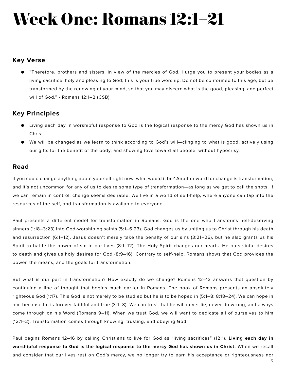# **Week One: Romans 12:1–21**

### **Key Verse**

● "Therefore, brothers and sisters, in view of the mercies of God, I urge you to present your bodies as a living sacrifice, holy and pleasing to God; this is your true worship. Do not be conformed to this age, but be transformed by the renewing of your mind, so that you may discern what is the good, pleasing, and perfect will of God." - Romans 12:1–2 (CSB)

### **Key Principles**

- Living each day in worshipful response to God is the logical response to the mercy God has shown us in Christ.
- We will be changed as we learn to think according to God's will—clinging to what is good, actively using our gifts for the benefit of the body, and showing love toward all people, without hypocrisy.

### **Read**

If you could change anything about yourself right now, what would it be? Another word for change is transformation, and it's not uncommon for any of us to desire some type of transformation—as long as we get to call the shots. If we can remain in control, change seems desirable. We live in a world of self-help, where anyone can tap into the resources of the self, and transformation is available to everyone.

Paul presents a different model for transformation in Romans. God is the one who transforms hell-deserving sinners (1:18–3:23) into God-worshiping saints (5:1–6:23). God changes us by uniting us to Christ through his death and resurrection (6:1–12). Jesus doesn't merely take the penalty of our sins (3:21–26), but he also grants us his Spirit to battle the power of sin in our lives (8:1–12). The Holy Spirit changes our hearts. He puts sinful desires to death and gives us holy desires for God (8:9–16). Contrary to self-help, Romans shows that God provides the power, the means, and the goals for transformation.

But what is our part in transformation? How exactly do we change? Romans 12–13 answers that question by continuing a line of thought that begins much earlier in Romans. The book of Romans presents an absolutely righteous God (1:17). This God is not merely to be studied but he is to be hoped in (5:1–8; 8:18–24). We can hope in him because he is forever faithful and true (3:1–8). We can trust that he will never lie, never do wrong, and always come through on his Word (Romans 9–11). When we trust God, we will want to dedicate all of ourselves to him (12:1–2). Transformation comes through knowing, trusting, and obeying God.

Paul begins Romans 12–16 by calling Christians to live for God as "living sacrifices" (12:1). **Living each day in worshipful response to God is the logical response to the mercy God has shown us in Christ.** When we recall and consider that our lives rest on God's mercy, we no longer try to earn his acceptance or righteousness nor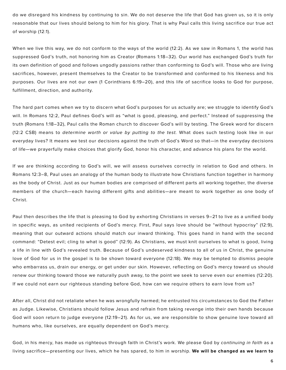do we disregard his kindness by continuing to sin. We do not deserve the life that God has given us, so it is only reasonable that our lives should belong to him for his glory. That is why Paul calls this living sacrifice our true act of worship (12:1).

When we live this way, we do not conform to the ways of the world (12:2). As we saw in Romans 1, the world has suppressed God's truth, not honoring him as Creator (Romans 1:18–32). Our world has exchanged God's truth for its own definition of good and follows ungodly passions rather than conforming to God's will. Those who are living sacrifices, however, present themselves to the Creator to be transformed and conformed to his likeness and his purposes. Our lives are not our own (1 Corinthians 6:19–20), and this life of sacrifice looks to God for purpose, fulfillment, direction, and authority.

The hard part comes when we try to discern what God's purposes for us actually are; we struggle to identify God's will. In Romans 12:2, Paul defines God's will as "what is good, pleasing, and perfect." Instead of suppressing the truth (Romans 1:18–32), Paul calls the Roman church to discover God's will by testing. The Greek word for discern (12:2 CSB) means to *determine worth or value by putting to the test.* What does such testing look like in our everyday lives? It means we test our decisions against the truth of God's Word so that—in the everyday decisions of life—we prayerfully make choices that glorify God, honor his character, and advance his plans for the world.

If we are thinking according to God's will, we will assess ourselves correctly in relation to God and others. In Romans 12:3–8, Paul uses an analogy of the human body to illustrate how Christians function together in harmony as the body of Christ. Just as our human bodies are comprised of different parts all working together, the diverse members of the church—each having different gifts and abilities—are meant to work together as one body of Christ.

Paul then describes the life that is pleasing to God by exhorting Christians in verses 9–21 to live as a unified body in specific ways, as united recipients of God's mercy. First, Paul says love should be "without hypocrisy" (12:9), meaning that our outward actions should match our inward thinking. This goes hand in hand with the second command: "Detest evil; cling to what is good" (12:9). As Christians, we must knit ourselves to what is good, living a life in line with God's revealed truth. Because of God's undeserved kindness to all of us in Christ, the genuine love of God for us in the gospel is to be shown toward everyone (12:18). We may be tempted to dismiss people who embarrass us, drain our energy, or get under our skin. However, reflecting on God's mercy toward us should renew our thinking toward those we naturally push away, to the point we seek to serve even our enemies (12:20). If we could not earn our righteous standing before God, how can we require others to earn love from us?

After all, Christ did not retaliate when he was wrongfully harmed; he entrusted his circumstances to God the Father as Judge. Likewise, Christians should follow Jesus and refrain from taking revenge into their own hands because God will soon return to judge everyone (12:19–21). As for us, we are responsible to show genuine love toward all humans who, like ourselves, are equally dependent on God's mercy.

God, in his mercy, has made us righteous through faith in Christ's work. We please God by *continuing in faith* as a living sacrifice—presenting our lives, which he has spared, to him in worship. **We will be changed as we learn to**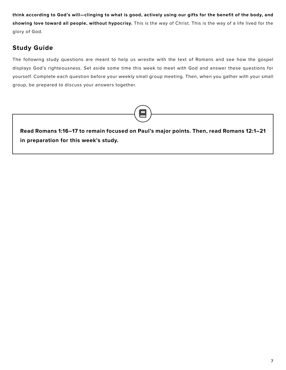**think according to God's will—clinging to what is good, actively using our gifts for the benefit of the body, and showing love toward all people, without hypocrisy.** This is the way of Christ. This is the way of a life lived for the glory of God.

# **Study Guide**

The following study questions are meant to help us wrestle with the text of Romans and see how the gospel displays God's righteousness. Set aside some time this week to meet with God and answer these questions for yourself. Complete each question before your weekly small group meeting. Then, when you gather with your small group, be prepared to discuss your answers together.

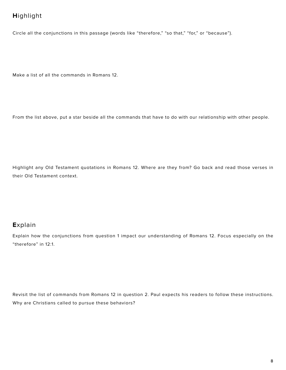# **H**ighlight

Circle all the conjunctions in this passage (words like "therefore," "so that," "for," or "because").

Make a list of all the commands in Romans 12.

From the list above, put a star beside all the commands that have to do with our relationship with other people.

Highlight any Old Testament quotations in Romans 12. Where are they from? Go back and read those verses in their Old Testament context.

### **E**xplain

Explain how the conjunctions from question 1 impact our understanding of Romans 12. Focus especially on the "therefore" in 12:1.

Revisit the list of commands from Romans 12 in question 2. Paul expects his readers to follow these instructions. Why are Christians called to pursue these behaviors?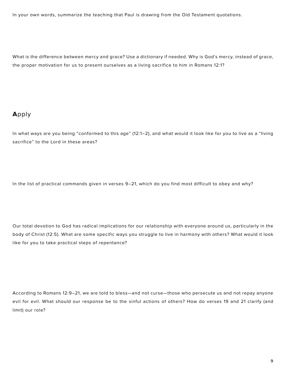In your own words, summarize the teaching that Paul is drawing from the Old Testament quotations.

What is the difference between mercy and grace? Use a dictionary if needed. Why is God's mercy, instead of grace, the proper motivation for us to present ourselves as a living sacrifice to him in Romans 12:1?

### **A**pply

In what ways are you being "conformed to this age" (12:1–2), and what would it look like for you to live as a "living sacrifice" to the Lord in these areas?

In the list of practical commands given in verses 9–21, which do you find most difficult to obey and why?

Our total devotion to God has radical implications for our relationship with everyone around us, particularly in the body of Christ (12:5). What are some specific ways you struggle to live in harmony with others? What would it look like for you to take practical steps of repentance?

According to Romans 12:9–21, we are told to bless—and not curse—those who persecute us and not repay anyone evil for evil. What should our response be to the sinful actions of others? How do verses 19 and 21 clarify (and limit) our role?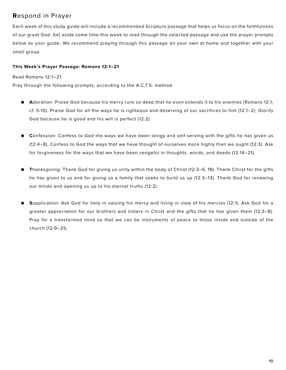### **R**espond in Prayer

Each week of this study guide will include a recommended Scripture passage that helps us focus on the faithfulness of our great God. Set aside some time this week to read through the selected passage and use the prayer prompts below as your guide. We recommend praying through this passage on your own at home and together with your small group.

#### **This Week's Prayer Passage: Romans 12:1–21**

Read Romans 12:1–21.

Pray through the following prompts, according to the A.C.T.S. method.

- **● A**doration: Praise God because his mercy runs so deep that he even extends it to his enemies (Romans 12:1; cf. 5:10). Praise God for all the ways he is righteous and deserving of our sacrifices to him (12:1–2). Glorify God because he is good and his will is perfect (12:2).
- **● C**onfession: Confess to God the ways we have been stingy and self-serving with the gifts he has given us (12:4–8). Confess to God the ways that we have thought of ourselves more highly than we ought (12:3). Ask for forgiveness for the ways that we have been vengeful in thoughts, words, and deeds (12:14–21).
- **● T**hanksgiving: Thank God for giving us unity within the body of Christ (12:3–6, 18). Thank Christ for the gifts he has given to us and for giving us a family that seeks to build us up (12:3–13). Thank God for renewing our minds and opening us up to his eternal truths (12:2).
- **● S**upplication: Ask God for help in valuing his mercy and living in view of his mercies (12:1). Ask God for a greater appreciation for our brothers and sisters in Christ and the gifts that he has given them (12:3–8). Pray for a transformed mind so that we can be instruments of peace to those inside and outside of the church (12:9–21).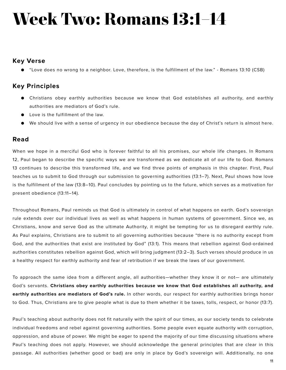# **Week Two: Romans 13:1–14**

### **Key Verse**

● "Love does no wrong to a neighbor. Love, therefore, is the fulfillment of the law." - Romans 13:10 (CSB)

### **Key Principles**

- Christians obey earthly authorities because we know that God establishes all authority, and earthly authorities are mediators of God's rule.
- Love is the fulfillment of the law.
- We should live with a sense of urgency in our obedience because the day of Christ's return is almost here.

### **Read**

When we hope in a merciful God who is forever faithful to all his promises, our whole life changes. In Romans 12, Paul began to describe the specific ways we are transformed as we dedicate all of our life to God. Romans 13 continues to describe this transformed life, and we find three points of emphasis in this chapter. First, Paul teaches us to submit to God through our submission to governing authorities (13:1–7). Next, Paul shows how love is the fulfillment of the law (13:8–10). Paul concludes by pointing us to the future, which serves as a motivation for present obedience (13:11–14).

Throughout Romans, Paul reminds us that God is ultimately in control of what happens on earth. God's sovereign rule extends over our individual lives as well as what happens in human systems of government. Since we, as Christians, know and serve God as the ultimate Authority, it might be tempting for us to disregard earthly rule. As Paul explains, Christians are to submit to all governing authorities because "there is no authority except from God, and the authorities that exist are instituted by God" (13:1). This means that rebellion against God-ordained authorities constitutes rebellion against God, which will bring judgment (13:2–3). Such verses should produce in us a healthy respect for earthly authority and fear of retribution if we break the laws of our government.

To approach the same idea from a different angle, all authorities—whether they know it or not— are ultimately God's servants. **Christians obey earthly authorities because we know that God establishes all authority, and earthly authorities are mediators of God's rule.** In other words, our respect for earthly authorities brings honor to God. Thus, Christians are to give people what is due to them whether it be taxes, tolls, respect, or honor (13:7).

Paul's teaching about authority does not fit naturally with the spirit of our times, as our society tends to celebrate individual freedoms and rebel against governing authorities. Some people even equate authority with corruption, oppression, and abuse of power. We might be eager to spend the majority of our time discussing situations where Paul's teaching does not apply. However, we should acknowledge the general principles that are clear in this passage. All authorities (whether good or bad) are only in place by God's sovereign will. Additionally, no one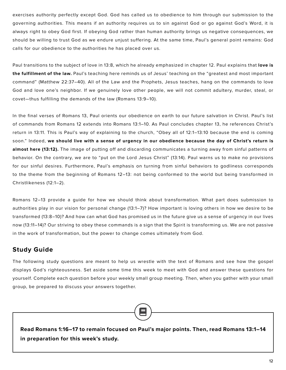exercises authority perfectly except God. God has called us to obedience to him through our submission to the governing authorities. This means if an authority requires us to sin against God or go against God's Word, it is always right to obey God first. If obeying God rather than human authority brings us negative consequences, we should be willing to trust God as we endure unjust suffering. At the same time, Paul's general point remains: God calls for our obedience to the authorities he has placed over us.

Paul transitions to the subject of love in 13:8, which he already emphasized in chapter 12. Paul explains that **love is the fulfillment of the law.** Paul's teaching here reminds us of Jesus' teaching on the "greatest and most important command" (Matthew 22:37–40). All of the Law and the Prophets, Jesus teaches, hang on the commands to love God and love one's neighbor. If we genuinely love other people, we will not commit adultery, murder, steal, or covet—thus fulfilling the demands of the law (Romans 13:9–10).

In the final verses of Romans 13, Paul orients our obedience on earth to our future salvation in Christ. Paul's list of commands from Romans 12 extends into Romans 13:1–10. As Paul concludes chapter 13, he references Christ's return in 13:11. This is Paul's way of explaining to the church, "Obey all of 12:1–13:10 because the end is coming soon." Indeed, **we should live with a sense of urgency in our obedience because the day of Christ's return is almost here (13:12).** The image of putting off and discarding communicates a turning away from sinful patterns of behavior. On the contrary, we are to "put on the Lord Jesus Christ" (13:14). Paul warns us to make no provisions for our sinful desires. Furthermore, Paul's emphasis on turning from sinful behaviors to godliness corresponds to the theme from the beginning of Romans 12–13: not being conformed to the world but being transformed in Christlikeness (12:1–2).

Romans 12–13 provide a guide for how we should think about transformation. What part does submission to authorities play in our vision for personal change (13:1–7)? How important is loving others in how we desire to be transformed (13:8–10)? And how can what God has promised us in the future give us a sense of urgency in our lives now (13:11–14)? Our striving to obey these commands is a sign that the Spirit is transforming us. We are not passive in the work of transformation, but the power to change comes ultimately from God.

### **Study Guide**

The following study questions are meant to help us wrestle with the text of Romans and see how the gospel displays God's righteousness. Set aside some time this week to meet with God and answer these questions for yourself. Complete each question before your weekly small group meeting. Then, when you gather with your small group, be prepared to discuss your answers together.

**Read Romans 1:16–17 to remain focused on Paul's major points. Then, read Romans 13:1–14 in preparation for this week's study.**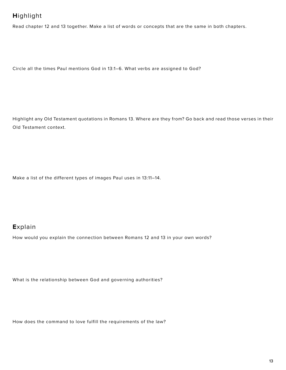### **H**ighlight

Read chapter 12 and 13 together. Make a list of words or concepts that are the same in both chapters.

Circle all the times Paul mentions God in 13:1–6. What verbs are assigned to God?

Highlight any Old Testament quotations in Romans 13. Where are they from? Go back and read those verses in their Old Testament context.

Make a list of the different types of images Paul uses in 13:11–14.

### **E**xplain

How would you explain the connection between Romans 12 and 13 in your own words?

What is the relationship between God and governing authorities?

How does the command to love fulfill the requirements of the law?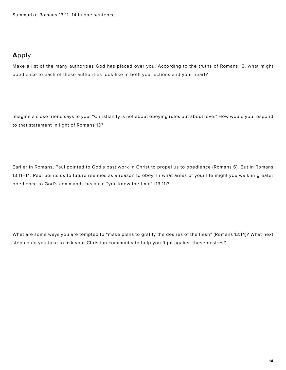Summarize Romans 13:11–14 in one sentence.

### **A**pply

Make a list of the many authorities God has placed over you. According to the truths of Romans 13, what might obedience to each of these authorities look like in both your actions and your heart?

Imagine a close friend says to you, "Christianity is not about obeying rules but about love." How would you respond to that statement in light of Romans 13?

Earlier in Romans, Paul pointed to God's past work in Christ to propel us to obedience (Romans 6). But in Romans 13:11–14, Paul points us to future realities as a reason to obey. In what areas of your life might you walk in greater obedience to God's commands because "you know the time" (13:11)?

What are some ways you are tempted to "make plans to gratify the desires of the flesh" (Romans 13:14)? What next step could you take to ask your Christian community to help you fight against these desires?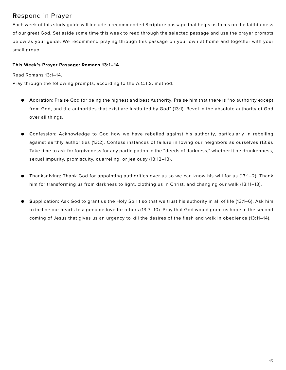### **R**espond in Prayer

Each week of this study guide will include a recommended Scripture passage that helps us focus on the faithfulness of our great God. Set aside some time this week to read through the selected passage and use the prayer prompts below as your guide. We recommend praying through this passage on your own at home and together with your small group.

#### **This Week's Prayer Passage: Romans 13:1–14**

Read Romans 13:1–14.

Pray through the following prompts, according to the A.C.T.S. method.

- **● A**doration: Praise God for being the highest and best Authority. Praise him that there is "no authority except from God, and the authorities that exist are instituted by God" (13:1). Revel in the absolute authority of God over all things.
- **● C**onfession: Acknowledge to God how we have rebelled against his authority, particularly in rebelling against earthly authorities (13:2). Confess instances of failure in loving our neighbors as ourselves (13:9). Take time to ask for forgiveness for any participation in the "deeds of darkness," whether it be drunkenness, sexual impurity, promiscuity, quarreling, or jealousy (13:12–13).
- **● T**hanksgiving: Thank God for appointing authorities over us so we can know his will for us (13:1–2). Thank him for transforming us from darkness to light, clothing us in Christ, and changing our walk (13:11–13).
- **● S**upplication: Ask God to grant us the Holy Spirit so that we trust his authority in all of life (13:1–6). Ask him to incline our hearts to a genuine love for others (13:7–10). Pray that God would grant us hope in the second coming of Jesus that gives us an urgency to kill the desires of the flesh and walk in obedience (13:11–14).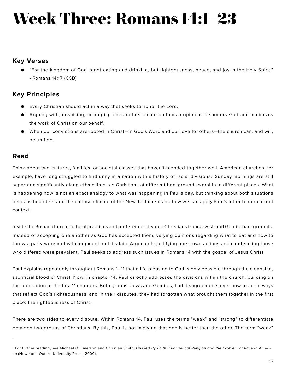# **Week Three: Romans 14:1–23**

### **Key Verses**

● "For the kingdom of God is not eating and drinking, but righteousness, peace, and joy in the Holy Spirit." - Romans 14:17 (CSB)

### **Key Principles**

- Every Christian should act in a way that seeks to honor the Lord.
- Arguing with, despising, or judging one another based on human opinions dishonors God and minimizes the work of Christ on our behalf.
- When our convictions are rooted in Christ—in God's Word and our love for others—the church can, and will, be unified.

### **Read**

Think about two cultures, families, or societal classes that haven't blended together well. American churches, for example, have long struggled to find unity in a nation with a history of racial divisions.<sup>1</sup> Sunday mornings are still separated significantly along ethnic lines, as Christians of different backgrounds worship in different places. What is happening now is not an exact analogy to what was happening in Paul's day, but thinking about both situations helps us to understand the cultural climate of the New Testament and how we can apply Paul's letter to our current context.

Inside the Roman church, cultural practices and preferences divided Christians from Jewish and Gentile backgrounds. Instead of accepting one another as God has accepted them, varying opinions regarding what to eat and how to throw a party were met with judgment and disdain. Arguments justifying one's own actions and condemning those who differed were prevalent. Paul seeks to address such issues in Romans 14 with the gospel of Jesus Christ.

Paul explains repeatedly throughout Romans 1–11 that a life pleasing to God is only possible through the cleansing, sacrificial blood of Christ. Now, in chapter 14, Paul directly addresses the divisions within the church, building on the foundation of the first 11 chapters. Both groups, Jews and Gentiles, had disagreements over how to act in ways that reflect God's righteousness, and in their disputes, they had forgotten what brought them together in the first place: the righteousness of Christ.

There are two sides to every dispute. Within Romans 14, Paul uses the terms "weak" and "strong" to differentiate between two groups of Christians. By this, Paul is not implying that one is better than the other. The term "weak"

<sup>1</sup> For further reading, see Michael O. Emerson and Christian Smith, *Divided By Faith: Evangelical Religion and the Problem of Race in America* (New York: Oxford University Press, 2000).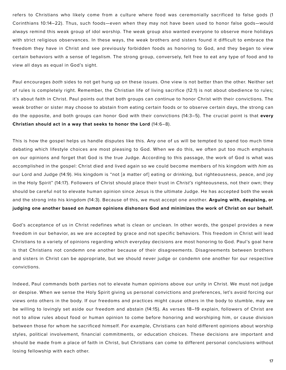refers to Christians who likely come from a culture where food was ceremonially sacrificed to false gods (1 Corinthians 10:14–22). Thus, such foods—even when they may not have been used to honor false gods—would always remind this weak group of idol worship. The weak group also wanted everyone to observe more holidays with strict religious observances. In these ways, the weak brothers and sisters found it difficult to embrace the freedom they have in Christ and see previously forbidden foods as honoring to God, and they began to view certain behaviors with a sense of legalism. The strong group, conversely, felt free to eat any type of food and to view all days as equal in God's sight.

Paul encourages *both* sides to not get hung up on these issues. One view is not better than the other. Neither set of rules is completely right. Remember, the Christian life of living sacrifice (12:1) is not about obedience to rules; it's about faith in Christ. Paul points out that both groups can continue to honor Christ with their convictions. The weak brother or sister may choose to abstain from eating certain foods or to observe certain days, the strong can do the opposite, and both groups can honor God with their convictions (14:3–5). The crucial point is that **every Christian should act in a way that seeks to honor the Lord** (14:6–8).

This is how the gospel helps us handle disputes like this. Any one of us will be tempted to spend too much time debating which lifestyle choices are most pleasing to God. When we do this, we often put too much emphasis on our opinions and forget that God is the true Judge. According to this passage, the work of God is what was accomplished in the gospel: Christ died and lived again so we could become members of his kingdom with *him* as our Lord and Judge (14:9). His kingdom is "not [a matter of] eating or drinking, but righteousness, peace, and joy in the Holy Spirit" (14:17). Followers of Christ should place their trust in *Christ's* righteousness, not their own; they should be careful not to elevate human opinion since Jesus is the ultimate Judge. He has accepted both the weak and the strong into his kingdom (14:3). Because of this, we must accept one another. **Arguing with, despising, or judging one another based on** *human* **opinions dishonors God and minimizes the work of Christ on our behalf.**

God's acceptance of us in Christ redefines what is clean or unclean. In other words, the gospel provides a new freedom in our behavior, as we are accepted by grace and not specific behaviors. This freedom in Christ will lead Christians to a variety of opinions regarding which everyday decisions are most honoring to God. Paul's goal here is that Christians not condemn one another because of their disagreements. Disagreements between brothers and sisters in Christ can be appropriate, but we should never judge or condemn one another for our respective convictions.

Indeed, Paul commands both parties not to elevate human opinions above our unity in Christ. We must not judge or despise. When we sense the Holy Spirit giving us personal convictions and preferences, let's avoid forcing our views onto others in the body. If our freedoms and practices might cause others in the body to stumble, may we be willing to lovingly set aside our freedom and abstain (14:15). As verses 18–19 explain, followers of Christ are not to allow rules about food or human opinion to come before honoring and worshiping him, or cause division between those for whom he sacrificed himself. For example, Christians can hold different opinions about worship styles, political involvement, financial commitments, or education choices. These decisions are important and should be made from a place of faith in Christ, but Christians can come to different personal conclusions without losing fellowship with each other.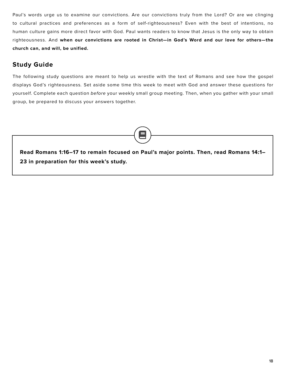Paul's words urge us to examine our convictions. Are our convictions truly from the Lord? Or are we clinging to cultural practices and preferences as a form of self-righteousness? Even with the best of intentions, no human culture gains more direct favor with God. Paul wants readers to know that Jesus is the only way to obtain righteousness. And **when our convictions are rooted in Christ—in God's Word and our love for others—the church can, and will, be unified.**

### **Study Guide**

The following study questions are meant to help us wrestle with the text of Romans and see how the gospel displays God's righteousness*.* Set aside some time this week to meet with God and answer these questions for yourself. Complete each question *before* your weekly small group meeting. Then, when you gather with your small group, be prepared to discuss your answers together.

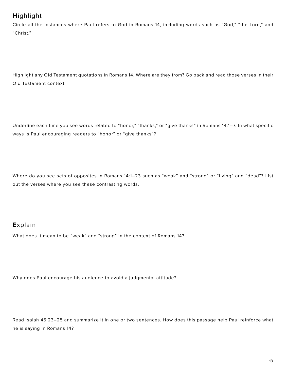## **H**ighlight

Circle all the instances where Paul refers to God in Romans 14, including words such as "God," "the Lord," and "Christ."

Highlight any Old Testament quotations in Romans 14. Where are they from? Go back and read those verses in their Old Testament context.

Underline each time you see words related to "honor," "thanks," or "give thanks" in Romans 14:1–7. In what specific ways is Paul encouraging readers to "honor" or "give thanks"?

Where do you see sets of opposites in Romans 14:1–23 such as "weak" and "strong" or "living" and "dead"? List out the verses where you see these contrasting words.

### **E**xplain

What does it mean to be "weak" and "strong" in the context of Romans 14?

Why does Paul encourage his audience to avoid a judgmental attitude?

Read Isaiah 45:23–25 and summarize it in one or two sentences. How does this passage help Paul reinforce what he is saying in Romans 14?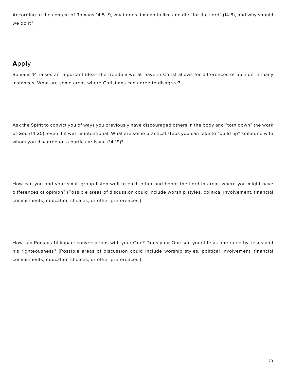According to the context of Romans 14:5–9, what does it mean to live and die "for the Lord" (14:8), and why should we do it?

# **A**pply

Romans 14 raises an important idea—the freedom we all have in Christ allows for differences of opinion in many instances. What are some areas where Christians can agree to disagree?

Ask the Spirit to convict you of ways you previously have discouraged others in the body and "torn down" the work of God (14:20), even if it was unintentional. What are some practical steps you can take to "build up" someone with whom you disagree on a particular issue (14:19)?

How can you and your small group listen well to each other and honor the Lord in areas where you might have differences of opinion? (Possible areas of discussion could include worship styles, political involvement, financial commitments, education choices, or other preferences.)

How can Romans 14 impact conversations with your One? Does your One see your life as one ruled by Jesus and his righteousness? (Possible areas of discussion could include worship styles, political involvement, financial commitments, education choices, or other preferences.)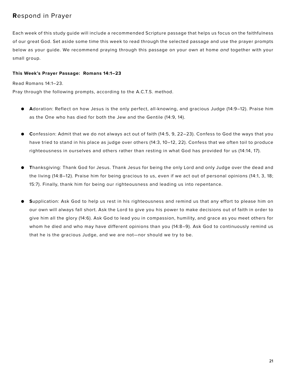### **R**espond in Prayer

Each week of this study guide will include a recommended Scripture passage that helps us focus on the faithfulness of our great God. Set aside some time this week to read through the selected passage and use the prayer prompts below as your guide. We recommend praying through this passage on your own at home *and* together with your small group.

#### **This Week's Prayer Passage: Romans 14:1–23**

Read Romans 14:1–23.

Pray through the following prompts, according to the A.C.T.S. method.

- **● A**doration: Reflect on how Jesus is the only perfect, all-knowing, and gracious Judge (14:9–12). Praise him as the One who has died for both the Jew and the Gentile (14:9, 14).
- **● C**onfession: Admit that we do not always act out of faith (14:5, 9, 22–23). Confess to God the ways that you have tried to stand in his place as judge over others (14:3, 10–12, 22). Confess that we often toil to produce righteousness in ourselves and others rather than resting in what God has provided for us (14:14, 17).
- **● T**hanksgiving: Thank God for Jesus. Thank Jesus for being the only Lord and only Judge over the dead and the living (14:8–12). Praise him for being gracious to us, even if we act out of personal opinions (14:1, 3, 18; 15:7). Finally, thank him for being our righteousness and leading us into repentance.
- **● S**upplication: Ask God to help us rest in his righteousness and remind us that any effort to please him on our own will always fall short. Ask the Lord to give you his power to make decisions out of faith in order to give him all the glory (14:6). Ask God to lead you in compassion, humility, and grace as you meet others for whom he died and who may have different opinions than you (14:8–9). Ask God to continuously remind us that he is the gracious Judge, and we are not—nor should we try to be.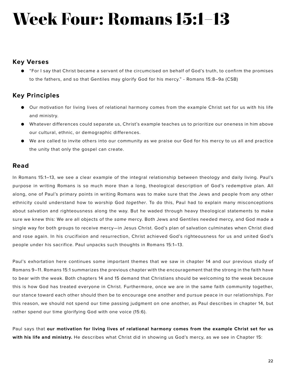# **Week Four: Romans 15:1–13**

### **Key Verses**

● "For I say that Christ became a servant of the circumcised on behalf of God's truth, to confirm the promises to the fathers, and so that Gentiles may glorify God for his mercy." - Romans 15:8–9a (CSB)

### **Key Principles**

- Our motivation for living lives of relational harmony comes from the example Christ set for us with his life and ministry.
- Whatever differences could separate us, Christ's example teaches us to prioritize our oneness in him above our cultural, ethnic, or demographic differences.
- We are called to invite others into our community as we praise our God for his mercy to us all and practice the unity that only the gospel can create.

### **Read**

In Romans 15:1–13, we see a clear example of the integral relationship between theology and daily living. Paul's purpose in writing Romans is so much more than a long, theological description of God's redemptive plan. All along, one of Paul's primary points in writing Romans was to make sure that the Jews and people from any other ethnicity could understand how to worship God *together*. To do this, Paul had to explain many misconceptions about salvation and righteousness along the way. But he waded through heavy theological statements to make sure we knew this: We are all objects of the *same* mercy. Both Jews and Gentiles needed mercy, and God made a single way for both groups to receive mercy—in Jesus Christ. God's plan of salvation culminates when Christ died and rose again. In his crucifixion and resurrection, Christ achieved God's righteousness for us and united God's people under his sacrifice. Paul unpacks such thoughts in Romans 15:1–13.

Paul's exhortation here continues some important themes that we saw in chapter 14 and our previous study of Romans 9–11. Romans 15:1 summarizes the previous chapter with the encouragement that the strong in the faith have to bear with the weak. Both chapters 14 and 15 demand that Christians should be welcoming to the weak because this is how God has treated everyone in Christ. Furthermore, once we are in the same faith community together, our stance toward each other should then be to encourage one another and pursue peace in our relationships. For this reason, we should not spend our time passing judgment on one another, as Paul describes in chapter 14, but rather spend our time glorifying God with one voice (15:6).

Paul says that **our motivation for living lives of relational harmony comes from the example Christ set for us with his life and ministry.** He describes what Christ did in showing us God's mercy, as we see in Chapter 15: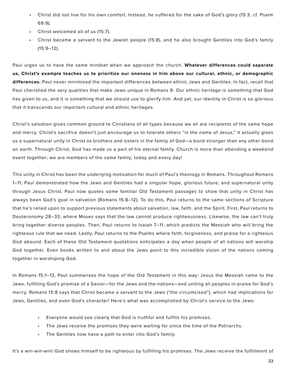- Christ did not live for his own comfort. Instead, he suffered for the sake of God's glory (15:3; cf. Psalm 69:9).
- Christ welcomed all of us (15:7).
- Christ became a servant to the Jewish people (15:8), and he also brought Gentiles into God's family  $(15:9-12)$ .

Paul urges us to have the same mindset when we approach the church. **Whatever differences could separate us, Christ's example teaches us to prioritize our oneness in him above our cultural, ethnic, or demographic differences.** Paul never minimized the important differences between ethnic Jews and Gentiles. In fact, recall that Paul cherished the very qualities that make Jews unique in Romans 9. Our ethnic heritage is something that God has given to us, and it is something that we should use to glorify him. And yet, our identity in Christ is so glorious that it transcends our important cultural and ethnic heritages.

Christ's salvation gives common ground to Christians of all types because we all are recipients of the same hope and mercy. Christ's sacrifice doesn't just encourage us to tolerate others "in the name of Jesus," it actually gives us a supernatural unity in Christ as brothers and sisters in the family of God—a bond stronger than any other bond on earth. Through Christ, God has made us a part of his eternal family. Church is more than attending a weekend event together; we are members of the same family, today and every day!

This unity in Christ has been the underlying motivation for much of Paul's theology in Romans. Throughout Romans 1–11, Paul demonstrated how the Jews and Gentiles had a singular hope, glorious future, and supernatural unity through Jesus Christ. Paul now quotes some familiar Old Testament passages to show that unity in Christ has always been God's goal in salvation (Romans 15:8–12). To do this, Paul returns to the same sections of Scripture that he's relied upon to support previous statements about salvation, law, faith, and the Spirit. First, Paul returns to Deuteronomy 28–33, where Moses says that the law cannot produce righteousness. Likewise, the law can't truly bring together diverse peoples. Then, Paul returns to Isaiah 7–11, which predicts the Messiah who will bring the righteous rule that we need. Lastly, Paul returns to the Psalms where faith, forgiveness, and praise for a righteous God abound. Each of these Old Testament quotations anticipates a day when people of all nations will worship God together. Even books written to and about the Jews point to this incredible vision of the nations coming together in worshiping God.

In Romans 15:1–13, Paul summarizes the hope of the Old Testament in this way: Jesus the Messiah came to the Jews, fulfilling God's promise of a Savior—for the Jews and the nations—and uniting all peoples in praise for God's mercy. Romans 15:8 says that Christ became a servant to the Jews ("the circumcised"), which had implications for Jews, Gentiles, and even God's character! Here's what was accomplished by Christ's service to the Jews:

- Everyone would see clearly that God is truthful and fulfills his promises.
- The Jews receive the promises they were waiting for since the time of the Patriarchs.
- The Gentiles now have a path to enter into God's family.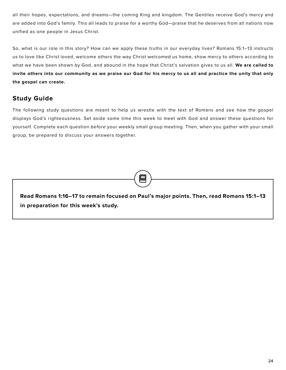all their hopes, expectations, and dreams—the coming King and kingdom. The Gentiles receive God's mercy and are added into God's family. This all leads to praise for a worthy God—praise that he deserves from all nations now unified as one people in Jesus Christ.

So, what is our role in this story? How can we apply these truths in our everyday lives? Romans 15:1–13 instructs us to love like Christ loved, welcome others the way Christ welcomed us home, show mercy to others according to what we have been shown by God, and abound in the hope that Christ's salvation gives to us all. **We are called to invite others into our community as we praise our God for his mercy to us all and practice the unity that only the gospel can create.**

### **Study Guide**

The following study questions are meant to help us wrestle with the text of Romans and see how the gospel displays God's righteousness*.* Set aside some time this week to meet with God and answer these questions for yourself. Complete each question *before* your weekly small group meeting. Then, when you gather with your small group, be prepared to discuss your answers together.

**Read Romans 1:16–17 to remain focused on Paul's major points. Then, read Romans 15:1–13 in preparation for this week's study.**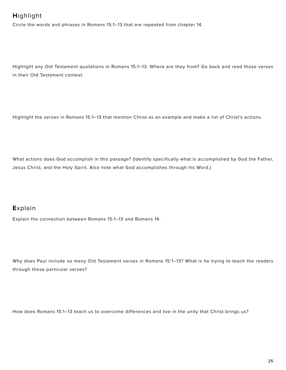# **H**ighlight

Circle the words and phrases in Romans 15:1–13 that are repeated from chapter 14.

Highlight any Old Testament quotations in Romans 15:1–13. Where are they from? Go back and read those verses in their Old Testament context.

Highlight the verses in Romans 15:1–13 that mention Christ as an example and make a list of Christ's actions.

What actions does God accomplish in this passage? (Identify specifically what is accomplished by God the Father, Jesus Christ, and the Holy Spirit. Also note what God accomplishes through his Word.)

### **E**xplain

Explain the connection between Romans 15:1–13 and Romans 14.

Why does Paul include so many Old Testament verses in Romans 15:1–13? What is he trying to teach the readers through these particular verses?

How does Romans 15:1–13 teach us to overcome differences and live in the unity that Christ brings us?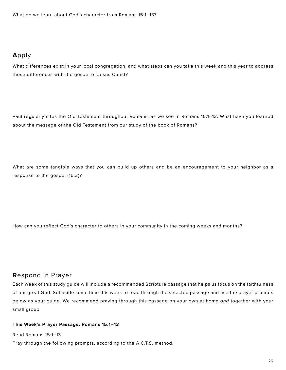### **A**pply

What differences exist in your local congregation, and what steps can you take this week and this year to address those differences with the gospel of Jesus Christ?

Paul regularly cites the Old Testament throughout Romans, as we see in Romans 15:1–13. What have you learned about the message of the Old Testament from our study of the book of Romans?

What are some tangible ways that you can build up others and be an encouragement to your neighbor as a response to the gospel (15:2)?

How can you reflect God's character to others in your community in the coming weeks and months?

### **R**espond in Prayer

Each week of this study guide will include a recommended Scripture passage that helps us focus on the faithfulness of our great God. Set aside some time this week to read through the selected passage and use the prayer prompts below as your guide. We recommend praying through this passage on your own at home *and* together with your small group.

#### **This Week's Prayer Passage: Romans 15:1–13**

Read Romans 15:1–13. Pray through the following prompts, according to the A.C.T.S. method.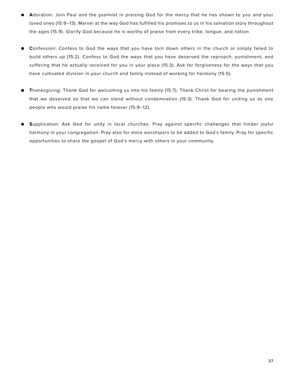- **● A**doration: Join Paul and the psalmist in praising God for the mercy that he has shown to you and your loved ones (15:9–13). Marvel at the way God has fulfilled his promises to us in his salvation story throughout the ages (15:9). Glorify God because he is worthy of praise from every tribe, tongue, and nation.
- **● C**onfession: Confess to God the ways that you have torn down others in the church or simply failed to build others up (15:2). Confess to God the ways that you have deserved the reproach, punishment, and suffering that he actually received for you in your place (15:3). Ask for forgiveness for the ways that you have cultivated division in your church and family instead of working for harmony (15:5).
- **● T**hanksgiving: Thank God for welcoming us into his family (15:7). Thank Christ for bearing the punishment that we deserved so that we can stand without condemnation (15:3). Thank God for uniting us as one people who would praise his name forever (15:9–12).
- **● S**upplication: Ask God for unity in local churches. Pray against specific challenges that hinder joyful harmony in your congregation. Pray also for more worshipers to be added to God's family. Pray for specific opportunities to share the gospel of God's mercy with others in your community.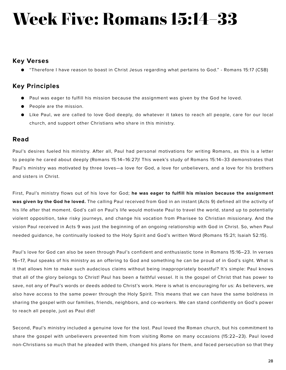# **Week Five: Romans 15:14–33**

### **Key Verses**

● "Therefore I have reason to boast in Christ Jesus regarding what pertains to God." - Romans 15:17 (CSB)

### **Key Principles**

- Paul was eager to fulfill his mission because the assignment was given by the God he loved.
- People are the mission.
- Like Paul, we are called to love God deeply, do whatever it takes to reach all people, care for our local church, and support other Christians who share in this ministry.

### **Read**

Paul's desires fueled his ministry. After all, Paul had personal motivations for writing Romans, as this is a letter to people he cared about deeply (Romans 15:14–16:27)! This week's study of Romans 15:14–33 demonstrates that Paul's ministry was motivated by three loves—a love for God, a love for unbelievers, and a love for his brothers and sisters in Christ.

First, Paul's ministry flows out of his love for God; **he was eager to fulfill his mission because the assignment was given by the God he loved.** The calling Paul received from God in an instant (Acts 9) defined all the activity of his life after that moment. God's call on Paul's life would motivate Paul to travel the world, stand up to potentially violent opposition, take risky journeys, and change his vocation from Pharisee to Christian missionary. And the vision Paul received in Acts 9 was just the beginning of an ongoing relationship with God in Christ. So, when Paul needed guidance, he continually looked to the Holy Spirit and God's written Word (Romans 15:21; Isaiah 52:15).

Paul's love for God can also be seen through Paul's confident and enthusiastic tone in Romans 15:16–23. In verses 16–17, Paul speaks of his ministry as an offering to God and something he can be proud of in God's sight. What is it that allows him to make such audacious claims without being inappropriately boastful? It's simple: Paul knows that all of the glory belongs to Christ! Paul has been a faithful vessel. It is the gospel of Christ that has power to save, not any of Paul's words or deeds added to Christ's work. Here is what is encouraging for us: As believers, we also have access to the same power through the Holy Spirit. This means that we can have the same boldness in sharing the gospel with our families, friends, neighbors, and co-workers. We can stand confidently on God's power to reach all people, just as Paul did!

Second, Paul's ministry included a genuine love for the lost. Paul loved the Roman church, but his commitment to share the gospel with unbelievers prevented him from visiting Rome on many occasions (15:22–23). Paul loved non-Christians so much that he pleaded with them, changed his plans for them, and faced persecution so that they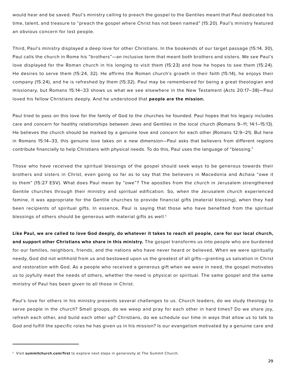would hear and be saved. Paul's ministry calling to preach the gospel to the Gentiles meant that Paul dedicated his time, talent, and treasure to "preach the gospel where Christ has not been named" (15:20). Paul's ministry featured an obvious concern for lost people.

Third, Paul's ministry displayed a deep love for other Christians. In the bookends of our target passage (15:14, 30), Paul calls the church in Rome his "brothers"—an inclusive term that meant both brothers and sisters. We see Paul's love displayed for the Roman church in his longing to visit them (15:23) and how he hopes to see them (15:24). He desires to serve them (15:24, 32). He affirms the Roman church's growth in their faith (15:14), he enjoys their company (15:24), and he is refreshed by them (15:32). Paul may be remembered for being a great theologian and missionary, but Romans 15:14–33 shows us what we see elsewhere in the New Testament (Acts 20:17–38)—Paul loved his fellow Christians deeply. And he understood that **people are the mission.**

Paul tried to pass on this love for the family of God to the churches he founded. Paul hopes that his legacy includes care and concern for healthy relationships between Jews and Gentiles in the local church (Romans 9–11; 14:1–15:13). He believes the church should be marked by a genuine love and concern for each other (Romans 12:9–21). But here in Romans 15:14–33, this genuine love takes on a new dimension—Paul asks that believers from different regions contribute financially to help Christians with physical needs. To do this, Paul uses the language of "blessing."

Those who have received the spiritual blessings of the gospel should seek ways to be generous towards their brothers and sisters in Christ, even going so far as to say that the believers in Macedonia and Achaia "owe it to them" (15:27 ESV). What does Paul mean by "owe"? The apostles from the church in Jerusalem strengthened Gentile churches through their ministry and spiritual edification. So, when the Jerusalem church experienced famine, it was appropriate for the Gentile churches to provide financial gifts (material blessing), when they had been recipients of spiritual gifts. In essence, Paul is saying that those who have benefited from the spiritual blessings of others should be generous with material gifts as well.<sup>1</sup>

**Like Paul, we are called to love God deeply, do whatever it takes to reach all people, care for our local church, and support other Christians who share in this ministry.** The gospel transforms us into people who are burdened for our families, neighbors, friends, and the nations who have never heard or believed. When we were spiritually needy, God did not withhold from us and bestowed upon us the greatest of all gifts—granting us salvation in Christ and restoration with God. As a people who received a generous gift when we were in need, the gospel motivates us to joyfully meet the needs of others, whether the need is physical or spiritual. The same gospel and the same ministry of Paul has been given to all those in Christ.

Paul's love for others in his ministry presents several challenges to us. Church leaders, do we study theology to serve people in the church? Small groups, do we weep and pray for each other in hard times? Do we share joy, refresh each other, and build each other up? Christians, do we schedule our time in ways that allow us to talk to God and fulfill the specific roles he has given us in his mission? Is our evangelism motivated by a genuine care and

<sup>1</sup> Visit **summitchurch.com/first** to explore next steps in generosity at The Summit Church.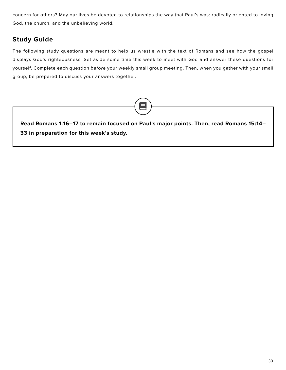concern for others? May our lives be devoted to relationships the way that Paul's was: radically oriented to loving God, the church, and the unbelieving world.

### **Study Guide**

The following study questions are meant to help us wrestle with the text of Romans and see how the gospel displays God's righteousness*.* Set aside some time this week to meet with God and answer these questions for yourself. Complete each question *before* your weekly small group meeting. Then, when you gather with your small group, be prepared to discuss your answers together.

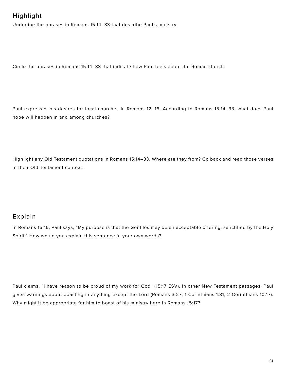# **H**ighlight

Underline the phrases in Romans 15:14–33 that describe Paul's ministry.

Circle the phrases in Romans 15:14–33 that indicate how Paul feels about the Roman church.

Paul expresses his desires for local churches in Romans 12–16. According to Romans 15:14–33, what does Paul hope will happen in and among churches?

Highlight any Old Testament quotations in Romans 15:14–33. Where are they from? Go back and read those verses in their Old Testament context.

### **E**xplain

In Romans 15:16, Paul says, "My purpose is that the Gentiles may be an acceptable offering, sanctified by the Holy Spirit." How would you explain this sentence in your own words?

Paul claims, "I have reason to be proud of my work for God" (15:17 ESV). In other New Testament passages, Paul gives warnings about boasting in anything except the Lord (Romans 3:27; 1 Corinthians 1:31; 2 Corinthians 10:17). Why might it be appropriate for him to boast of his ministry here in Romans 15:17?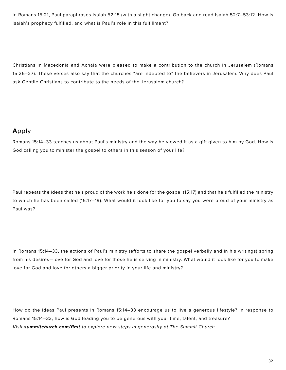In Romans 15:21, Paul paraphrases Isaiah 52:15 (with a slight change). Go back and read Isaiah 52:7–53:12. How is Isaiah's prophecy fulfilled, and what is Paul's role in this fulfillment?

Christians in Macedonia and Achaia were pleased to make a contribution to the church in Jerusalem (Romans 15:26–27). These verses also say that the churches "are indebted to" the believers in Jerusalem. Why does Paul ask Gentile Christians to contribute to the needs of the Jerusalem church?

### **A**pply

Romans 15:14–33 teaches us about Paul's ministry and the way he viewed it as a gift given to him by God. How is God calling you to minister the gospel to others in this season of your life?

Paul repeats the ideas that he's proud of the work he's done for the gospel (15:17) and that he's fulfilled the ministry to which he has been called (15:17–19). What would it look like for you to say you were proud of your ministry as Paul was?

In Romans 15:14–33, the actions of Paul's ministry (efforts to share the gospel verbally and in his writings) spring from his desires—love for God and love for those he is serving in ministry. What would it look like for you to make love for God and love for others a bigger priority in your life and ministry?

How do the ideas Paul presents in Romans 15:14–33 encourage us to live a generous lifestyle? In response to Romans 15:14–33, how is God leading you to be generous with your time, talent, and treasure? *Visit summitchurch.com/first to explore next steps in generosity at The Summit Church.*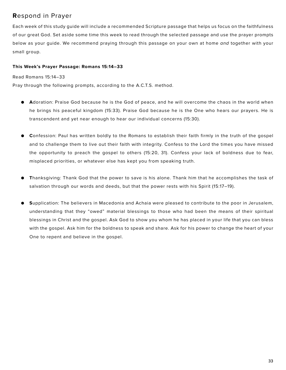### **R**espond in Prayer

Each week of this study guide will include a recommended Scripture passage that helps us focus on the faithfulness of our great God. Set aside some time this week to read through the selected passage and use the prayer prompts below as your guide. We recommend praying through this passage on your own at home *and* together with your small group.

#### **This Week's Prayer Passage: Romans 15:14–33**

#### Read Romans 15:14–33

Pray through the following prompts, according to the A.C.T.S. method.

- **● A**doration: Praise God because he is the God of peace, and he will overcome the chaos in the world when he brings his peaceful kingdom (15:33). Praise God because he is the One who hears our prayers. He is transcendent and yet near enough to hear our individual concerns (15:30).
- **● C**onfession: Paul has written boldly to the Romans to establish their faith firmly in the truth of the gospel and to challenge them to live out their faith with integrity. Confess to the Lord the times you have missed the opportunity to preach the gospel to others (15:20, 31). Confess your lack of boldness due to fear, misplaced priorities, or whatever else has kept you from speaking truth.
- **● T**hanksgiving: Thank God that the power to save is his alone. Thank him that he accomplishes the task of salvation through our words and deeds, but that the power rests with his Spirit (15:17–19).
- **● S**upplication: The believers in Macedonia and Achaia were pleased to contribute to the poor in Jerusalem, understanding that they "owed" material blessings to those who had been the means of their spiritual blessings in Christ and the gospel. Ask God to show you whom he has placed in your life that you can bless with the gospel. Ask him for the boldness to speak and share. Ask for his power to change the heart of your One to repent and believe in the gospel.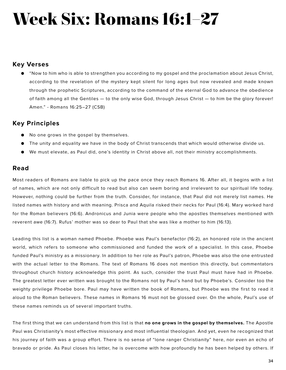# **Week Six: Romans 16:1–27**

### **Key Verses**

● "Now to him who is able to strengthen you according to my gospel and the proclamation about Jesus Christ, according to the revelation of the mystery kept silent for long ages but now revealed and made known through the prophetic Scriptures, according to the command of the eternal God to advance the obedience of faith among all the Gentiles — to the only wise God, through Jesus Christ — to him be the glory forever! Amen." - Romans 16:25–27 (CSB)

### **Key Principles**

- No one grows in the gospel by themselves.
- The unity and equality we have in the body of Christ transcends that which would otherwise divide us.
- We must elevate, as Paul did, one's identity in Christ above all, not their ministry accomplishments.

### **Read**

Most readers of Romans are liable to pick up the pace once they reach Romans 16. After all, it begins with a list of names, which are not only difficult to read but also can seem boring and irrelevant to our spiritual life today. However, nothing could be further from the truth. Consider, for instance, that Paul did not merely list names. He listed names with history and with meaning. Prisca and Aquila risked their necks for Paul (16:4). Mary worked hard for the Roman believers (16:6). Andronicus and Junia were people who the apostles themselves mentioned with reverent awe (16:7). Rufus' mother was so dear to Paul that she was like a mother to him (16:13).

Leading this list is a woman named Phoebe. Phoebe was Paul's benefactor (16:2), an honored role in the ancient world, which refers to someone who commissioned and funded the work of a specialist. In this case, Phoebe funded Paul's ministry as a missionary. In addition to her role as Paul's patron, Phoebe was also the one entrusted with the actual letter to the Romans. The text of Romans 16 does not mention this directly, but commentators throughout church history acknowledge this point. As such, consider the trust Paul must have had in Phoebe. The greatest letter ever written was brought to the Romans not by Paul's hand but by Phoebe's. Consider too the weighty privilege Phoebe bore. Paul may have written the book of Romans, but Phoebe was the first to read it aloud to the Roman believers. These names in Romans 16 must not be glossed over. On the whole, Paul's use of these names reminds us of several important truths.

The first thing that we can understand from this list is that **no one grows in the gospel by themselves.** The Apostle Paul was Christianity's most effective missionary and most influential theologian. And yet, even he recognized that his journey of faith was a group effort. There is no sense of "lone ranger Christianity" here, nor even an echo of bravado or pride. As Paul closes his letter, he is overcome with how profoundly he has been helped by others. If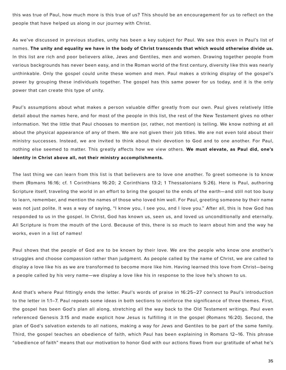this was true of Paul, how much more is this true of us? This should be an encouragement for us to reflect on the people that have helped us along in our journey with Christ.

As we've discussed in previous studies, unity has been a key subject for Paul. We see this even in Paul's list of names. **The unity and equality we have in the body of Christ transcends that which would otherwise divide us.**  In this list are rich and poor believers alike, Jews and Gentiles, men and women. Drawing together people from various backgrounds has never been easy, and in the Roman world of the first century, diversity like this was nearly unthinkable. Only the gospel could unite these women and men. Paul makes a striking display of the gospel's power by grouping these individuals together. The gospel has this same power for us today, and it is the only power that can create this type of unity.

Paul's assumptions about what makes a person valuable differ greatly from our own. Paul gives relatively little detail about the names here, and for most of the people in this list, the rest of the New Testament gives no other information. Yet the little that Paul chooses to mention (or, rather, not mention) is telling. We know nothing at all about the physical appearance of any of them. We are not given their job titles. We are not even told about their ministry successes. Instead, we are invited to think about their devotion to God and to one another. For Paul, nothing else seemed to matter. This greatly affects how we view others. **We must elevate, as Paul did, one's identity in Christ above all, not their ministry accomplishments.**

The last thing we can learn from this list is that believers are to love one another. To greet someone is to know them (Romans 16:16; cf. 1 Corinthians 16:20; 2 Corinthians 13:2; 1 Thessalonians 5:26). Here is Paul, authoring Scripture itself, traveling the world in an effort to bring the gospel to the ends of the earth—and still not too busy to learn, remember, and mention the names of those who loved him well. For Paul, greeting someone by their name was not just polite. It was a way of saying, "I know you, I see you, and I love you." After all, this is how God has responded to us in the gospel. In Christ, God has known us, seen us, and loved us unconditionally and eternally. All Scripture is from the mouth of the Lord. Because of this, there is so much to learn about him and the way he works, even in a list of names!

Paul shows that the people of God are to be known by their love. We are the people who know one another's struggles and choose compassion rather than judgment. As people called by the name of Christ, we are called to display a love like his as we are transformed to become more like him. Having learned this love from Christ—being a people called by his very name—we display a love like his in response to the love he's shown to us.

And that's where Paul fittingly ends the letter. Paul's words of praise in 16:25–27 connect to Paul's introduction to the letter in 1:1–7. Paul repeats some ideas in both sections to reinforce the significance of three themes. First, the gospel has been God's plan all along, stretching all the way back to the Old Testament writings. Paul even referenced Genesis 3:15 and made explicit how Jesus is fulfilling it in the gospel (Romans 16:20). Second, the plan of God's salvation extends to all nations, making a way for Jews and Gentiles to be part of the same family. Third, the gospel teaches an obedience of faith, which Paul has been explaining in Romans 12–16. This phrase "obedience of faith" means that our motivation to honor God with our actions flows from our gratitude of what he's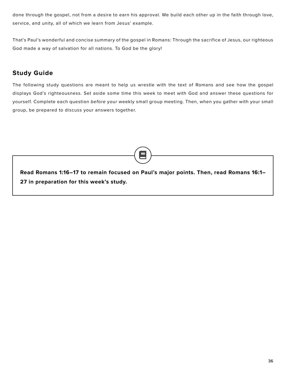done through the gospel, not from a desire to earn his approval. We build each other up in the faith through love, service, and unity, all of which we learn from Jesus' example.

That's Paul's wonderful and concise summary of the gospel in Romans: Through the sacrifice of Jesus, our righteous God made a way of salvation for all nations. To God be the glory!

### **Study Guide**

The following study questions are meant to help us wrestle with the text of Romans and see how the gospel displays God's righteousness*.* Set aside some time this week to meet with God and answer these questions for yourself. Complete each question *before* your weekly small group meeting. Then, when you gather with your small group, be prepared to discuss your answers together.

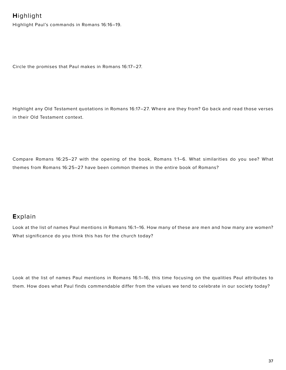### **H**ighlight

Highlight Paul's commands in Romans 16:16–19.

Circle the promises that Paul makes in Romans 16:17–27.

Highlight any Old Testament quotations in Romans 16:17–27. Where are they from? Go back and read those verses in their Old Testament context.

Compare Romans 16:25–27 with the opening of the book, Romans 1:1–6. What similarities do you see? What themes from Romans 16:25–27 have been common themes in the entire book of Romans?

### **E**xplain

Look at the list of names Paul mentions in Romans 16:1–16. How many of these are men and how many are women? What significance do you think this has for the church today?

Look at the list of names Paul mentions in Romans 16:1–16, this time focusing on the qualities Paul attributes to them. How does what Paul finds commendable differ from the values we tend to celebrate in our society today?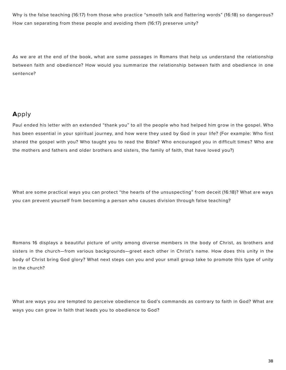Why is the false teaching (16:17) from those who practice "smooth talk and flattering words" (16:18) so dangerous? How can separating from these people and avoiding them (16:17) preserve unity?

As we are at the end of the book, what are some passages in Romans that help us understand the relationship between faith and obedience? How would you summarize the relationship between faith and obedience in one sentence?

### **A**pply

Paul ended his letter with an extended "thank you" to all the people who had helped him grow in the gospel. Who has been essential in your spiritual journey, and how were they used by God in your life? (For example: Who first shared the gospel with you? Who taught you to read the Bible? Who encouraged you in difficult times? Who are the mothers and fathers and older brothers and sisters, the family of faith, that have loved you?)

What are some practical ways you can protect "the hearts of the unsuspecting" from deceit (16:18)? What are ways you can prevent yourself from becoming a person who causes division through false teaching?

Romans 16 displays a beautiful picture of unity among diverse members in the body of Christ, as brothers and sisters in the church—from various backgrounds—greet each other in Christ's name. How does this unity in the body of Christ bring God glory? What next steps can you and your small group take to promote this type of unity in the church?

What are ways you are tempted to perceive obedience to God's commands as contrary to faith in God? What are ways you can grow in faith that leads you to obedience to God?